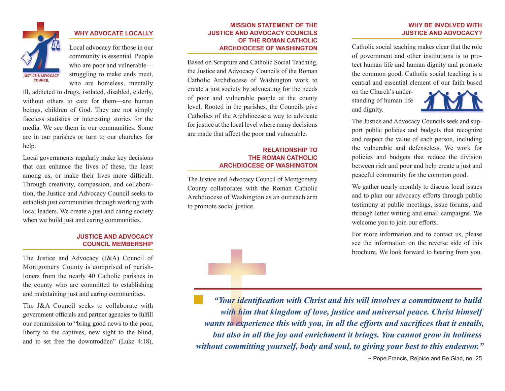

### **WHY ADVOCATE LOCALLY**

Local advocacy for those in our community is essential. People who are poor and vulnerable struggling to make ends meet, who are homeless, mentally

ill, addicted to drugs, isolated, disabled, elderly, without others to care for them—are human beings, children of God. They are not simply faceless statistics or interesting stories for the media. We see them in our communities. Some are in our parishes or turn to our churches for help.

Local governments regularly make key decisions that can enhance the lives of these, the least among us, or make their lives more difficult. Through creativity, compassion, and collaboration, the Justice and Advocacy Council seeks to establish just communities through working with local leaders. We create a just and caring society when we build just and caring communities.

#### **JUSTICE AND ADVOCACY COUNCIL MEMBERSHIP**

The Justice and Advocacy (J&A) Council of Montgomery County is comprised of parishioners from the nearly 40 Catholic parishes in the county who are committed to establishing and maintaining just and caring communities.

The J&A Council seeks to collaborate with government officials and partner agencies to fulfill our commission to "bring good news to the poor, liberty to the captives, new sight to the blind, and to set free the downtrodden" (Luke 4:18),

#### **MISSION STATEMENT OF THE JUSTICE AND ADVOCACY COUNCILS OF THE ROMAN CATHOLIC ARCHDIOCESE OF WASHINGTON**

Based on Scripture and Catholic Social Teaching, the Justice and Advocacy Councils of the Roman Catholic Archdiocese of Washington work to create a just society by advocating for the needs of poor and vulnerable people at the county level. Rooted in the parishes, the Councils give Catholics of the Archdiocese a way to advocate for justice at the local level where many decisions are made that affect the poor and vulnerable.

#### **RELATIONSHIP TO THE ROMAN CATHOLIC ARCHDIOCESE OF WASHINGTON**

The Justice and Advocacy Council of Montgomery County collaborates with the Roman Catholic Archdiocese of Washington as an outreach arm to promote social justice.

#### **WHY BE INVOLVED WITH JUSTICE AND ADVOCACY?**

Catholic social teaching makes clear that the role of government and other institutions is to protect human life and human dignity and promote the common good. Catholic social teaching is a central and essential element of our faith based

on the Church's understanding of human life and dignity.



The Justice and Advocacy Councils seek and support public policies and budgets that recognize and respect the value of each person, including the vulnerable and defenseless. We work for policies and budgets that reduce the division between rich and poor and help create a just and peaceful community for the common good.

We gather nearly monthly to discuss local issues and to plan our advocacy efforts through public testimony at public meetings, issue forums, and through letter writing and email campaigns. We welcome you to join our efforts.

For more information and to contact us, please see the information on the reverse side of this brochure. We look forward to hearing from you.

*"Your identification with Christ and his will involves a commitment to build with him that kingdom of love, justice and universal peace. Christ himself wants to experience this with you, in all the efforts and sacrifices that it entails, but also in all the joy and enrichment it brings. You cannot grow in holiness without committing yourself, body and soul, to giving your best to this endeavor."*

~ Pope Francis, Rejoice and Be Glad, no. 25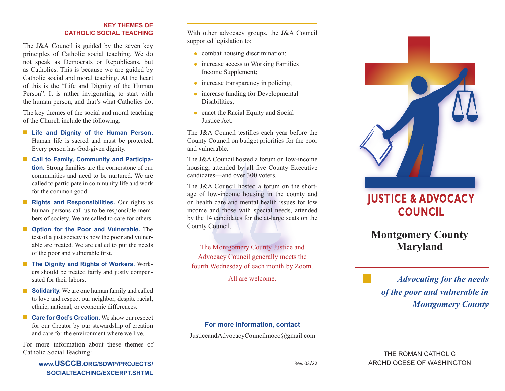#### **KEY THEMES OF CATHOLIC SOCIAL TEACHING**

The J&A Council is guided by the seven key principles of Catholic social teaching. We do not speak as Democrats or Republicans, but as Catholics. This is because we are guided by Catholic social and moral teaching. At the heart of this is the "Life and Dignity of the Human Person". It is rather invigorating to start with the human person, and that's what Catholics do.

The key themes of the social and moral teaching of the Church include the following:

- Life and Dignity of the Human Person. Human life is sacred and must be protected. Every person has God-given dignity.
- Call to Family, Community and Participa**tion.** Strong families are the cornerstone of our communities and need to be nurtured. We are called to participate in community life and work for the common good.
- **Rights and Responsibilities.** Our rights as human persons call us to be responsible members of society. We are called to care for others.
- **Option for the Poor and Vulnerable.** The test of a just society is how the poor and vulnerable are treated. We are called to put the needs of the poor and vulnerable first.
- **The Dignity and Rights of Workers.** Workers should be treated fairly and justly compensated for their labors.
- **Solidarity.** We are one human family and called to love and respect our neighbor, despite racial, ethnic, national, or economic differences.
- **Care for God's Creation.** We show our respect for our Creator by our stewardship of creation and care for the environment where we live.

For more information about these themes of Catholic Social Teaching:

> **www.USCCB.ORG/SDWP/PROJECTS/ SOCIALTEACHING/EXCERPT.SHTML**

With other advocacy groups, the J&A Council supported legislation to:

- combat housing discrimination;
- increase access to Working Families Income Supplement;
- increase transparency in policing;
- increase funding for Developmental Disabilities;
- enact the Racial Equity and Social Justice Act.

The J&A Council testifies each year before the County Council on budget priorities for the poor and vulnerable.

The J&A Council hosted a forum on low-income housing, attended by all five County Executive candidates—and over 300 voters.

The J&A Council hosted a forum on the shortage of low-income housing in the county and on health care and mental health issues for low income and those with special needs, attended by the 14 candidates for the at-large seats on the County Council.

The Montgomery County Justice and Advocacy Council generally meets the fourth Wednesday of each month by Zoom.

All are welcome.



JusticeandAdvocacyCouncilmoco@gmail.com



# **JUSTICE & ADVOCACY COUNCIL**

**Montgomery County Maryland**

*Advocating for the needs of the poor and vulnerable in Montgomery County*

# THE ROMAN CATHOLIC ARCHDIOCESE OF WASHINGTON

Rev. 03/22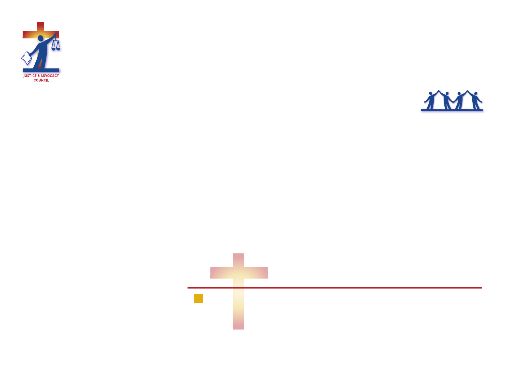